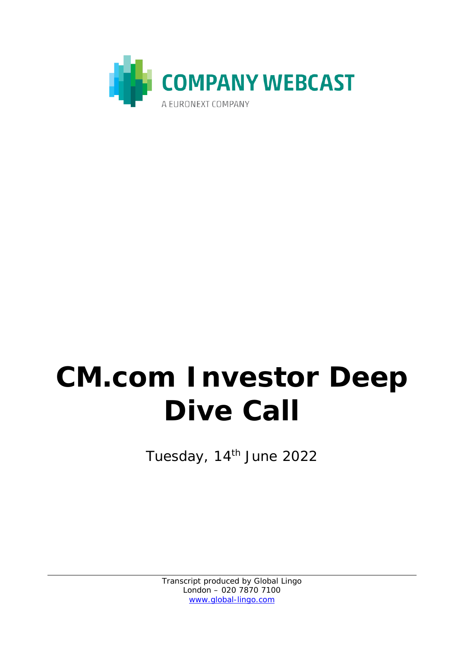

# **CM.com Investor Deep Dive Call**

Tuesday, 14<sup>th</sup> June 2022

Transcript produced by Global Lingo London – 020 7870 7100 [www.global-lingo.com](http://www.global-lingo.com/)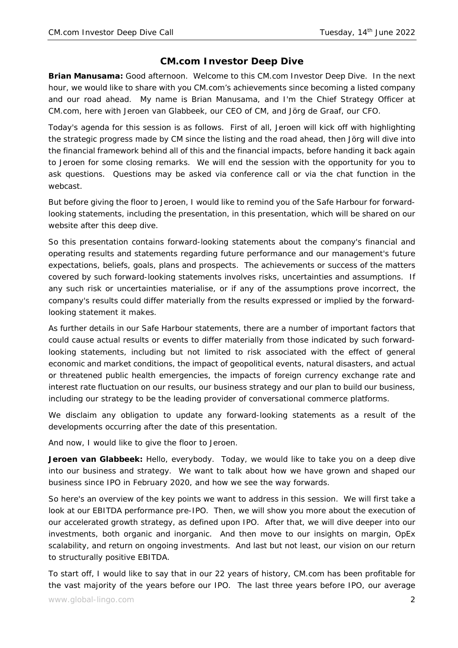## **CM.com Investor Deep Dive**

**Brian Manusama:** Good afternoon. Welcome to this CM.com Investor Deep Dive. In the next hour, we would like to share with you CM.com's achievements since becoming a listed company and our road ahead. My name is Brian Manusama, and I'm the Chief Strategy Officer at CM.com, here with Jeroen van Glabbeek, our CEO of CM, and Jörg de Graaf, our CFO.

Today's agenda for this session is as follows. First of all, Jeroen will kick off with highlighting the strategic progress made by CM since the listing and the road ahead, then Jörg will dive into the financial framework behind all of this and the financial impacts, before handing it back again to Jeroen for some closing remarks. We will end the session with the opportunity for you to ask questions. Questions may be asked via conference call or via the chat function in the webcast.

But before giving the floor to Jeroen, I would like to remind you of the Safe Harbour for forwardlooking statements, including the presentation, in this presentation, which will be shared on our website after this deep dive.

So this presentation contains forward-looking statements about the company's financial and operating results and statements regarding future performance and our management's future expectations, beliefs, goals, plans and prospects. The achievements or success of the matters covered by such forward-looking statements involves risks, uncertainties and assumptions. If any such risk or uncertainties materialise, or if any of the assumptions prove incorrect, the company's results could differ materially from the results expressed or implied by the forwardlooking statement it makes.

As further details in our Safe Harbour statements, there are a number of important factors that could cause actual results or events to differ materially from those indicated by such forwardlooking statements, including but not limited to risk associated with the effect of general economic and market conditions, the impact of geopolitical events, natural disasters, and actual or threatened public health emergencies, the impacts of foreign currency exchange rate and interest rate fluctuation on our results, our business strategy and our plan to build our business, including our strategy to be the leading provider of conversational commerce platforms.

We disclaim any obligation to update any forward-looking statements as a result of the developments occurring after the date of this presentation.

And now, I would like to give the floor to Jeroen.

**Jeroen van Glabbeek:** Hello, everybody. Today, we would like to take you on a deep dive into our business and strategy. We want to talk about how we have grown and shaped our business since IPO in February 2020, and how we see the way forwards.

So here's an overview of the key points we want to address in this session. We will first take a look at our EBITDA performance pre-IPO. Then, we will show you more about the execution of our accelerated growth strategy, as defined upon IPO. After that, we will dive deeper into our investments, both organic and inorganic. And then move to our insights on margin, OpEx scalability, and return on ongoing investments. And last but not least, our vision on our return to structurally positive EBITDA.

To start off, I would like to say that in our 22 years of history, CM.com has been profitable for the vast majority of the years before our IPO. The last three years before IPO, our average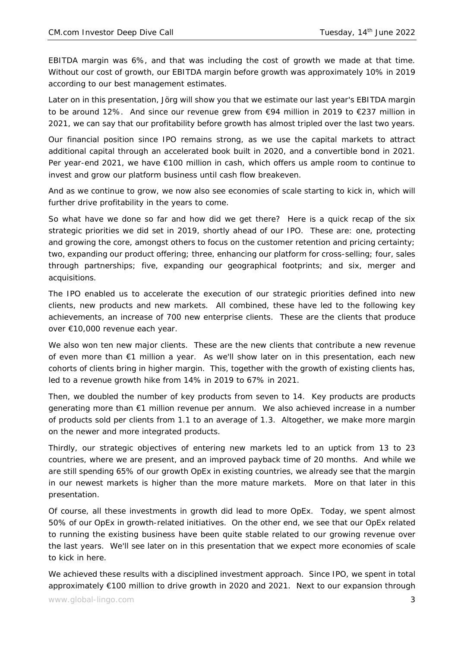EBITDA margin was 6%, and that was including the cost of growth we made at that time. Without our cost of growth, our EBITDA margin before growth was approximately 10% in 2019 according to our best management estimates.

Later on in this presentation, Jörg will show you that we estimate our last year's EBITDA margin to be around 12%. And since our revenue grew from €94 million in 2019 to €237 million in 2021, we can say that our profitability before growth has almost tripled over the last two years.

Our financial position since IPO remains strong, as we use the capital markets to attract additional capital through an accelerated book built in 2020, and a convertible bond in 2021. Per year-end 2021, we have €100 million in cash, which offers us ample room to continue to invest and grow our platform business until cash flow breakeven.

And as we continue to grow, we now also see economies of scale starting to kick in, which will further drive profitability in the years to come.

So what have we done so far and how did we get there? Here is a quick recap of the six strategic priorities we did set in 2019, shortly ahead of our IPO. These are: one, protecting and growing the core, amongst others to focus on the customer retention and pricing certainty; two, expanding our product offering; three, enhancing our platform for cross-selling; four, sales through partnerships; five, expanding our geographical footprints; and six, merger and acquisitions.

The IPO enabled us to accelerate the execution of our strategic priorities defined into new clients, new products and new markets. All combined, these have led to the following key achievements, an increase of 700 new enterprise clients. These are the clients that produce over €10,000 revenue each year.

We also won ten new major clients. These are the new clients that contribute a new revenue of even more than €1 million a year. As we'll show later on in this presentation, each new cohorts of clients bring in higher margin. This, together with the growth of existing clients has, led to a revenue growth hike from 14% in 2019 to 67% in 2021.

Then, we doubled the number of key products from seven to 14. Key products are products generating more than €1 million revenue per annum. We also achieved increase in a number of products sold per clients from 1.1 to an average of 1.3. Altogether, we make more margin on the newer and more integrated products.

Thirdly, our strategic objectives of entering new markets led to an uptick from 13 to 23 countries, where we are present, and an improved payback time of 20 months. And while we are still spending 65% of our growth OpEx in existing countries, we already see that the margin in our newest markets is higher than the more mature markets. More on that later in this presentation.

Of course, all these investments in growth did lead to more OpEx. Today, we spent almost 50% of our OpEx in growth-related initiatives. On the other end, we see that our OpEx related to running the existing business have been quite stable related to our growing revenue over the last years. We'll see later on in this presentation that we expect more economies of scale to kick in here.

We achieved these results with a disciplined investment approach. Since IPO, we spent in total approximately €100 million to drive growth in 2020 and 2021. Next to our expansion through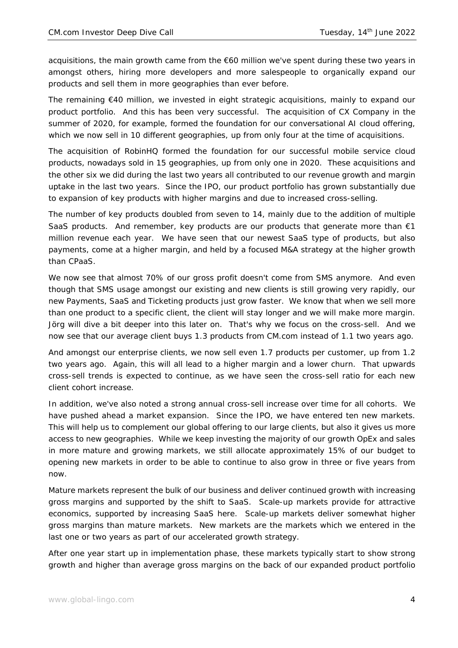acquisitions, the main growth came from the €60 million we've spent during these two years in amongst others, hiring more developers and more salespeople to organically expand our products and sell them in more geographies than ever before.

The remaining  $€40$  million, we invested in eight strategic acquisitions, mainly to expand our product portfolio. And this has been very successful. The acquisition of CX Company in the summer of 2020, for example, formed the foundation for our conversational AI cloud offering, which we now sell in 10 different geographies, up from only four at the time of acquisitions.

The acquisition of RobinHQ formed the foundation for our successful mobile service cloud products, nowadays sold in 15 geographies, up from only one in 2020. These acquisitions and the other six we did during the last two years all contributed to our revenue growth and margin uptake in the last two years. Since the IPO, our product portfolio has grown substantially due to expansion of key products with higher margins and due to increased cross-selling.

The number of key products doubled from seven to 14, mainly due to the addition of multiple SaaS products. And remember, key products are our products that generate more than  $\epsilon$ 1 million revenue each year. We have seen that our newest SaaS type of products, but also payments, come at a higher margin, and held by a focused M&A strategy at the higher growth than CPaaS.

We now see that almost 70% of our gross profit doesn't come from SMS anymore. And even though that SMS usage amongst our existing and new clients is still growing very rapidly, our new Payments, SaaS and Ticketing products just grow faster. We know that when we sell more than one product to a specific client, the client will stay longer and we will make more margin. Jörg will dive a bit deeper into this later on. That's why we focus on the cross-sell. And we now see that our average client buys 1.3 products from CM.com instead of 1.1 two years ago.

And amongst our enterprise clients, we now sell even 1.7 products per customer, up from 1.2 two years ago. Again, this will all lead to a higher margin and a lower churn. That upwards cross-sell trends is expected to continue, as we have seen the cross-sell ratio for each new client cohort increase.

In addition, we've also noted a strong annual cross-sell increase over time for all cohorts. We have pushed ahead a market expansion. Since the IPO, we have entered ten new markets. This will help us to complement our global offering to our large clients, but also it gives us more access to new geographies. While we keep investing the majority of our growth OpEx and sales in more mature and growing markets, we still allocate approximately 15% of our budget to opening new markets in order to be able to continue to also grow in three or five years from now.

Mature markets represent the bulk of our business and deliver continued growth with increasing gross margins and supported by the shift to SaaS. Scale-up markets provide for attractive economics, supported by increasing SaaS here. Scale-up markets deliver somewhat higher gross margins than mature markets. New markets are the markets which we entered in the last one or two years as part of our accelerated growth strategy.

After one year start up in implementation phase, these markets typically start to show strong growth and higher than average gross margins on the back of our expanded product portfolio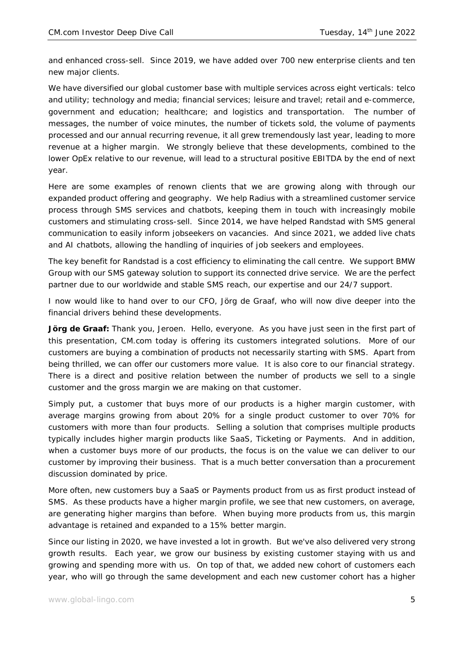and enhanced cross-sell. Since 2019, we have added over 700 new enterprise clients and ten new major clients.

We have diversified our global customer base with multiple services across eight verticals: telco and utility; technology and media; financial services; leisure and travel; retail and e-commerce, government and education; healthcare; and logistics and transportation. The number of messages, the number of voice minutes, the number of tickets sold, the volume of payments processed and our annual recurring revenue, it all grew tremendously last year, leading to more revenue at a higher margin. We strongly believe that these developments, combined to the lower OpEx relative to our revenue, will lead to a structural positive EBITDA by the end of next year.

Here are some examples of renown clients that we are growing along with through our expanded product offering and geography. We help Radius with a streamlined customer service process through SMS services and chatbots, keeping them in touch with increasingly mobile customers and stimulating cross-sell. Since 2014, we have helped Randstad with SMS general communication to easily inform jobseekers on vacancies. And since 2021, we added live chats and AI chatbots, allowing the handling of inquiries of job seekers and employees.

The key benefit for Randstad is a cost efficiency to eliminating the call centre. We support BMW Group with our SMS gateway solution to support its connected drive service. We are the perfect partner due to our worldwide and stable SMS reach, our expertise and our 24/7 support.

I now would like to hand over to our CFO, Jörg de Graaf, who will now dive deeper into the financial drivers behind these developments.

Jörg de Graaf: Thank you, Jeroen. Hello, everyone. As you have just seen in the first part of this presentation, CM.com today is offering its customers integrated solutions. More of our customers are buying a combination of products not necessarily starting with SMS. Apart from being thrilled, we can offer our customers more value. It is also core to our financial strategy. There is a direct and positive relation between the number of products we sell to a single customer and the gross margin we are making on that customer.

Simply put, a customer that buys more of our products is a higher margin customer, with average margins growing from about 20% for a single product customer to over 70% for customers with more than four products. Selling a solution that comprises multiple products typically includes higher margin products like SaaS, Ticketing or Payments. And in addition, when a customer buys more of our products, the focus is on the value we can deliver to our customer by improving their business. That is a much better conversation than a procurement discussion dominated by price.

More often, new customers buy a SaaS or Payments product from us as first product instead of SMS. As these products have a higher margin profile, we see that new customers, on average, are generating higher margins than before. When buying more products from us, this margin advantage is retained and expanded to a 15% better margin.

Since our listing in 2020, we have invested a lot in growth. But we've also delivered very strong growth results. Each year, we grow our business by existing customer staying with us and growing and spending more with us. On top of that, we added new cohort of customers each year, who will go through the same development and each new customer cohort has a higher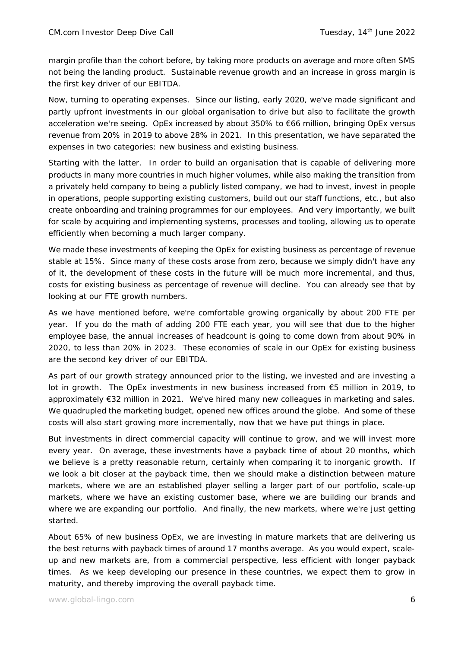margin profile than the cohort before, by taking more products on average and more often SMS not being the landing product. Sustainable revenue growth and an increase in gross margin is the first key driver of our EBITDA.

Now, turning to operating expenses. Since our listing, early 2020, we've made significant and partly upfront investments in our global organisation to drive but also to facilitate the growth acceleration we're seeing. OpEx increased by about 350% to €66 million, bringing OpEx versus revenue from 20% in 2019 to above 28% in 2021. In this presentation, we have separated the expenses in two categories: new business and existing business.

Starting with the latter. In order to build an organisation that is capable of delivering more products in many more countries in much higher volumes, while also making the transition from a privately held company to being a publicly listed company, we had to invest, invest in people in operations, people supporting existing customers, build out our staff functions, etc., but also create onboarding and training programmes for our employees. And very importantly, we built for scale by acquiring and implementing systems, processes and tooling, allowing us to operate efficiently when becoming a much larger company.

We made these investments of keeping the OpEx for existing business as percentage of revenue stable at 15%. Since many of these costs arose from zero, because we simply didn't have any of it, the development of these costs in the future will be much more incremental, and thus, costs for existing business as percentage of revenue will decline. You can already see that by looking at our FTE growth numbers.

As we have mentioned before, we're comfortable growing organically by about 200 FTE per year. If you do the math of adding 200 FTE each year, you will see that due to the higher employee base, the annual increases of headcount is going to come down from about 90% in 2020, to less than 20% in 2023. These economies of scale in our OpEx for existing business are the second key driver of our EBITDA.

As part of our growth strategy announced prior to the listing, we invested and are investing a lot in growth. The OpEx investments in new business increased from €5 million in 2019, to approximately €32 million in 2021. We've hired many new colleagues in marketing and sales. We quadrupled the marketing budget, opened new offices around the globe. And some of these costs will also start growing more incrementally, now that we have put things in place.

But investments in direct commercial capacity will continue to grow, and we will invest more every year. On average, these investments have a payback time of about 20 months, which we believe is a pretty reasonable return, certainly when comparing it to inorganic growth. If we look a bit closer at the payback time, then we should make a distinction between mature markets, where we are an established player selling a larger part of our portfolio, scale-up markets, where we have an existing customer base, where we are building our brands and where we are expanding our portfolio. And finally, the new markets, where we're just getting started.

About 65% of new business OpEx, we are investing in mature markets that are delivering us the best returns with payback times of around 17 months average. As you would expect, scaleup and new markets are, from a commercial perspective, less efficient with longer payback times. As we keep developing our presence in these countries, we expect them to grow in maturity, and thereby improving the overall payback time.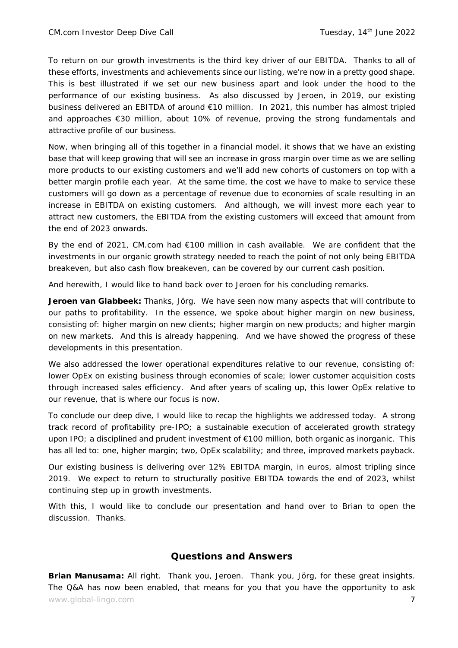To return on our growth investments is the third key driver of our EBITDA. Thanks to all of these efforts, investments and achievements since our listing, we're now in a pretty good shape. This is best illustrated if we set our new business apart and look under the hood to the performance of our existing business. As also discussed by Jeroen, in 2019, our existing business delivered an EBITDA of around €10 million. In 2021, this number has almost tripled and approaches €30 million, about 10% of revenue, proving the strong fundamentals and attractive profile of our business.

Now, when bringing all of this together in a financial model, it shows that we have an existing base that will keep growing that will see an increase in gross margin over time as we are selling more products to our existing customers and we'll add new cohorts of customers on top with a better margin profile each year. At the same time, the cost we have to make to service these customers will go down as a percentage of revenue due to economies of scale resulting in an increase in EBITDA on existing customers. And although, we will invest more each year to attract new customers, the EBITDA from the existing customers will exceed that amount from the end of 2023 onwards.

By the end of 2021, CM.com had €100 million in cash available. We are confident that the investments in our organic growth strategy needed to reach the point of not only being EBITDA breakeven, but also cash flow breakeven, can be covered by our current cash position.

And herewith, I would like to hand back over to Jeroen for his concluding remarks.

Jeroen van Glabbeek: Thanks, Jörg. We have seen now many aspects that will contribute to our paths to profitability. In the essence, we spoke about higher margin on new business, consisting of: higher margin on new clients; higher margin on new products; and higher margin on new markets. And this is already happening. And we have showed the progress of these developments in this presentation.

We also addressed the lower operational expenditures relative to our revenue, consisting of: lower OpEx on existing business through economies of scale; lower customer acquisition costs through increased sales efficiency. And after years of scaling up, this lower OpEx relative to our revenue, that is where our focus is now.

To conclude our deep dive, I would like to recap the highlights we addressed today. A strong track record of profitability pre-IPO; a sustainable execution of accelerated growth strategy upon IPO; a disciplined and prudent investment of €100 million, both organic as inorganic. This has all led to: one, higher margin; two, OpEx scalability; and three, improved markets payback.

Our existing business is delivering over 12% EBITDA margin, in euros, almost tripling since 2019. We expect to return to structurally positive EBITDA towards the end of 2023, whilst continuing step up in growth investments.

With this, I would like to conclude our presentation and hand over to Brian to open the discussion. Thanks.

## **Questions and Answers**

www.global-lingo.com  $\overline{7}$ **Brian Manusama:** All right. Thank you, Jeroen. Thank you, Jörg, for these great insights. The Q&A has now been enabled, that means for you that you have the opportunity to ask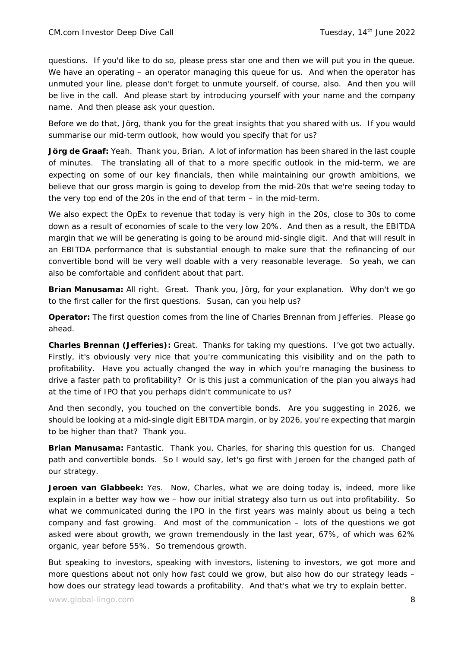questions. If you'd like to do so, please press star one and then we will put you in the queue. We have an operating – an operator managing this queue for us. And when the operator has unmuted your line, please don't forget to unmute yourself, of course, also. And then you will be live in the call. And please start by introducing yourself with your name and the company name. And then please ask your question.

Before we do that, Jörg, thank you for the great insights that you shared with us. If you would summarise our mid-term outlook, how would you specify that for us?

**Jörg de Graaf:** Yeah. Thank you, Brian. A lot of information has been shared in the last couple of minutes. The translating all of that to a more specific outlook in the mid-term, we are expecting on some of our key financials, then while maintaining our growth ambitions, we believe that our gross margin is going to develop from the mid-20s that we're seeing today to the very top end of the 20s in the end of that term – in the mid-term.

We also expect the OpEx to revenue that today is very high in the 20s, close to 30s to come down as a result of economies of scale to the very low 20%. And then as a result, the EBITDA margin that we will be generating is going to be around mid-single digit. And that will result in an EBITDA performance that is substantial enough to make sure that the refinancing of our convertible bond will be very well doable with a very reasonable leverage. So yeah, we can also be comfortable and confident about that part.

**Brian Manusama:** All right. Great. Thank you, Jörg, for your explanation. Why don't we go to the first caller for the first questions. Susan, can you help us?

**Operator:** The first question comes from the line of Charles Brennan from Jefferies. Please go ahead.

**Charles Brennan (Jefferies):** Great. Thanks for taking my questions. I've got two actually. Firstly, it's obviously very nice that you're communicating this visibility and on the path to profitability. Have you actually changed the way in which you're managing the business to drive a faster path to profitability? Or is this just a communication of the plan you always had at the time of IPO that you perhaps didn't communicate to us?

And then secondly, you touched on the convertible bonds. Are you suggesting in 2026, we should be looking at a mid-single digit EBITDA margin, or by 2026, you're expecting that margin to be higher than that? Thank you.

**Brian Manusama:** Fantastic. Thank you, Charles, for sharing this question for us. Changed path and convertible bonds. So I would say, let's go first with Jeroen for the changed path of our strategy.

**Jeroen van Glabbeek:** Yes. Now, Charles, what we are doing today is, indeed, more like explain in a better way how we – how our initial strategy also turn us out into profitability. So what we communicated during the IPO in the first years was mainly about us being a tech company and fast growing. And most of the communication – lots of the questions we got asked were about growth, we grown tremendously in the last year, 67%, of which was 62% organic, year before 55%. So tremendous growth.

But speaking to investors, speaking with investors, listening to investors, we got more and more questions about not only how fast could we grow, but also how do our strategy leads – how does our strategy lead towards a profitability. And that's what we try to explain better.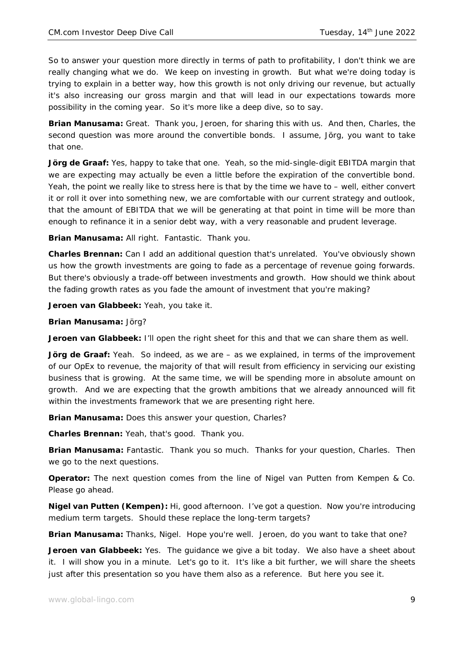So to answer your question more directly in terms of path to profitability, I don't think we are really changing what we do. We keep on investing in growth. But what we're doing today is trying to explain in a better way, how this growth is not only driving our revenue, but actually it's also increasing our gross margin and that will lead in our expectations towards more possibility in the coming year. So it's more like a deep dive, so to say.

**Brian Manusama:** Great. Thank you, Jeroen, for sharing this with us. And then, Charles, the second question was more around the convertible bonds. I assume, Jörg, you want to take that one.

**Jörg de Graaf:** Yes, happy to take that one. Yeah, so the mid-single-digit EBITDA margin that we are expecting may actually be even a little before the expiration of the convertible bond. Yeah, the point we really like to stress here is that by the time we have to – well, either convert it or roll it over into something new, we are comfortable with our current strategy and outlook, that the amount of EBITDA that we will be generating at that point in time will be more than enough to refinance it in a senior debt way, with a very reasonable and prudent leverage.

**Brian Manusama:** All right. Fantastic. Thank you.

**Charles Brennan:** Can I add an additional question that's unrelated. You've obviously shown us how the growth investments are going to fade as a percentage of revenue going forwards. But there's obviously a trade-off between investments and growth. How should we think about the fading growth rates as you fade the amount of investment that you're making?

**Jeroen van Glabbeek:** Yeah, you take it.

**Brian Manusama:** Jörg?

**Jeroen van Glabbeek:** I'll open the right sheet for this and that we can share them as well.

Jörg de Graaf: Yeah. So indeed, as we are - as we explained, in terms of the improvement of our OpEx to revenue, the majority of that will result from efficiency in servicing our existing business that is growing. At the same time, we will be spending more in absolute amount on growth. And we are expecting that the growth ambitions that we already announced will fit within the investments framework that we are presenting right here.

**Brian Manusama:** Does this answer your question, Charles?

**Charles Brennan:** Yeah, that's good. Thank you.

**Brian Manusama:** Fantastic. Thank you so much. Thanks for your question, Charles. Then we go to the next questions.

**Operator:** The next question comes from the line of Nigel van Putten from Kempen & Co. Please go ahead.

**Nigel van Putten (Kempen):** Hi, good afternoon. I've got a question. Now you're introducing medium term targets. Should these replace the long-term targets?

**Brian Manusama:** Thanks, Nigel. Hope you're well. Jeroen, do you want to take that one?

**Jeroen van Glabbeek:** Yes. The guidance we give a bit today. We also have a sheet about it. I will show you in a minute. Let's go to it. It's like a bit further, we will share the sheets just after this presentation so you have them also as a reference. But here you see it.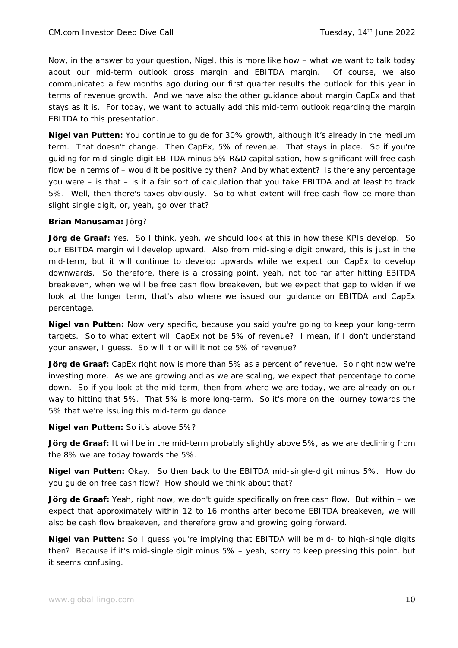Now, in the answer to your question, Nigel, this is more like how – what we want to talk today about our mid-term outlook gross margin and EBITDA margin. Of course, we also communicated a few months ago during our first quarter results the outlook for this year in terms of revenue growth. And we have also the other guidance about margin CapEx and that stays as it is. For today, we want to actually add this mid-term outlook regarding the margin EBITDA to this presentation.

**Nigel van Putten:** You continue to guide for 30% growth, although it's already in the medium term. That doesn't change. Then CapEx, 5% of revenue. That stays in place. So if you're guiding for mid-single-digit EBITDA minus 5% R&D capitalisation, how significant will free cash flow be in terms of – would it be positive by then? And by what extent? Is there any percentage you were – is that – is it a fair sort of calculation that you take EBITDA and at least to track 5%. Well, then there's taxes obviously. So to what extent will free cash flow be more than slight single digit, or, yeah, go over that?

#### **Brian Manusama:** Jörg?

**Jörg de Graaf:** Yes. So I think, yeah, we should look at this in how these KPIs develop. So our EBITDA margin will develop upward. Also from mid-single digit onward, this is just in the mid-term, but it will continue to develop upwards while we expect our CapEx to develop downwards. So therefore, there is a crossing point, yeah, not too far after hitting EBITDA breakeven, when we will be free cash flow breakeven, but we expect that gap to widen if we look at the longer term, that's also where we issued our guidance on EBITDA and CapEx percentage.

**Nigel van Putten:** Now very specific, because you said you're going to keep your long-term targets. So to what extent will CapEx not be 5% of revenue? I mean, if I don't understand your answer, I guess. So will it or will it not be 5% of revenue?

**Jörg de Graaf:** CapEx right now is more than 5% as a percent of revenue. So right now we're investing more. As we are growing and as we are scaling, we expect that percentage to come down. So if you look at the mid-term, then from where we are today, we are already on our way to hitting that 5%. That 5% is more long-term. So it's more on the journey towards the 5% that we're issuing this mid-term guidance.

#### **Nigel van Putten:** So it's above 5%?

**Jörg de Graaf:** It will be in the mid-term probably slightly above 5%, as we are declining from the 8% we are today towards the 5%.

**Nigel van Putten:** Okay. So then back to the EBITDA mid-single-digit minus 5%. How do you guide on free cash flow? How should we think about that?

**Jörg de Graaf:** Yeah, right now, we don't guide specifically on free cash flow. But within – we expect that approximately within 12 to 16 months after become EBITDA breakeven, we will also be cash flow breakeven, and therefore grow and growing going forward.

**Nigel van Putten:** So I guess you're implying that EBITDA will be mid- to high-single digits then? Because if it's mid-single digit minus 5% – yeah, sorry to keep pressing this point, but it seems confusing.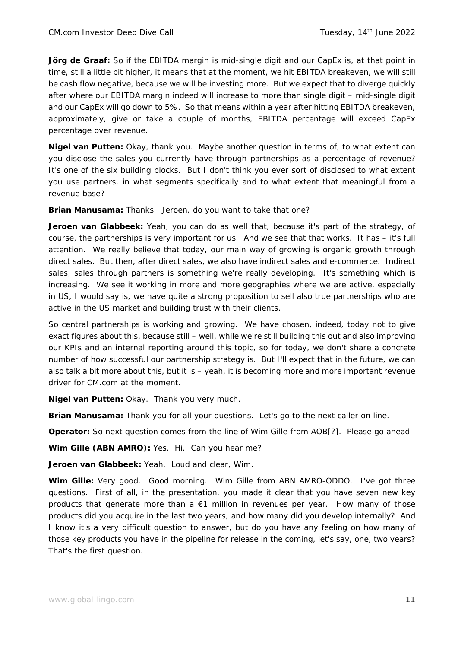**Jörg de Graaf:** So if the EBITDA margin is mid-single digit and our CapEx is, at that point in time, still a little bit higher, it means that at the moment, we hit EBITDA breakeven, we will still be cash flow negative, because we will be investing more. But we expect that to diverge quickly after where our EBITDA margin indeed will increase to more than single digit – mid-single digit and our CapEx will go down to 5%. So that means within a year after hitting EBITDA breakeven, approximately, give or take a couple of months, EBITDA percentage will exceed CapEx percentage over revenue.

**Nigel van Putten:** Okay, thank you. Maybe another question in terms of, to what extent can you disclose the sales you currently have through partnerships as a percentage of revenue? It's one of the six building blocks. But I don't think you ever sort of disclosed to what extent you use partners, in what segments specifically and to what extent that meaningful from a revenue base?

**Brian Manusama:** Thanks. Jeroen, do you want to take that one?

**Jeroen van Glabbeek:** Yeah, you can do as well that, because it's part of the strategy, of course, the partnerships is very important for us. And we see that that works. It has – it's full attention. We really believe that today, our main way of growing is organic growth through direct sales. But then, after direct sales, we also have indirect sales and e-commerce. Indirect sales, sales through partners is something we're really developing. It's something which is increasing. We see it working in more and more geographies where we are active, especially in US, I would say is, we have quite a strong proposition to sell also true partnerships who are active in the US market and building trust with their clients.

So central partnerships is working and growing. We have chosen, indeed, today not to give exact figures about this, because still – well, while we're still building this out and also improving our KPIs and an internal reporting around this topic, so for today, we don't share a concrete number of how successful our partnership strategy is. But I'll expect that in the future, we can also talk a bit more about this, but it is – yeah, it is becoming more and more important revenue driver for CM.com at the moment.

**Nigel van Putten:** Okay. Thank you very much.

**Brian Manusama:** Thank you for all your questions. Let's go to the next caller on line.

**Operator:** So next question comes from the line of Wim Gille from AOB[?]. Please go ahead.

**Wim Gille (ABN AMRO):** Yes. Hi. Can you hear me?

**Jeroen van Glabbeek:** Yeah. Loud and clear, Wim.

**Wim Gille:** Very good. Good morning. Wim Gille from ABN AMRO-ODDO. I've got three questions. First of all, in the presentation, you made it clear that you have seven new key products that generate more than a €1 million in revenues per year. How many of those products did you acquire in the last two years, and how many did you develop internally? And I know it's a very difficult question to answer, but do you have any feeling on how many of those key products you have in the pipeline for release in the coming, let's say, one, two years? That's the first question.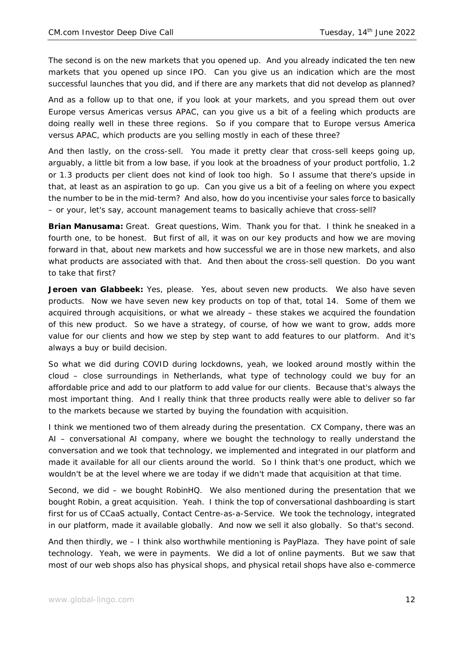The second is on the new markets that you opened up. And you already indicated the ten new markets that you opened up since IPO. Can you give us an indication which are the most successful launches that you did, and if there are any markets that did not develop as planned?

And as a follow up to that one, if you look at your markets, and you spread them out over Europe versus Americas versus APAC, can you give us a bit of a feeling which products are doing really well in these three regions. So if you compare that to Europe versus America versus APAC, which products are you selling mostly in each of these three?

And then lastly, on the cross-sell. You made it pretty clear that cross-sell keeps going up, arguably, a little bit from a low base, if you look at the broadness of your product portfolio, 1.2 or 1.3 products per client does not kind of look too high. So I assume that there's upside in that, at least as an aspiration to go up. Can you give us a bit of a feeling on where you expect the number to be in the mid-term? And also, how do you incentivise your sales force to basically – or your, let's say, account management teams to basically achieve that cross-sell?

**Brian Manusama:** Great. Great questions, Wim. Thank you for that. I think he sneaked in a fourth one, to be honest. But first of all, it was on our key products and how we are moving forward in that, about new markets and how successful we are in those new markets, and also what products are associated with that. And then about the cross-sell question. Do you want to take that first?

**Jeroen van Glabbeek:** Yes, please. Yes, about seven new products. We also have seven products. Now we have seven new key products on top of that, total 14. Some of them we acquired through acquisitions, or what we already – these stakes we acquired the foundation of this new product. So we have a strategy, of course, of how we want to grow, adds more value for our clients and how we step by step want to add features to our platform. And it's always a buy or build decision.

So what we did during COVID during lockdowns, yeah, we looked around mostly within the cloud – close surroundings in Netherlands, what type of technology could we buy for an affordable price and add to our platform to add value for our clients. Because that's always the most important thing. And I really think that three products really were able to deliver so far to the markets because we started by buying the foundation with acquisition.

I think we mentioned two of them already during the presentation. CX Company, there was an AI – conversational AI company, where we bought the technology to really understand the conversation and we took that technology, we implemented and integrated in our platform and made it available for all our clients around the world. So I think that's one product, which we wouldn't be at the level where we are today if we didn't made that acquisition at that time.

Second, we did – we bought RobinHQ. We also mentioned during the presentation that we bought Robin, a great acquisition. Yeah. I think the top of conversational dashboarding is start first for us of CCaaS actually, Contact Centre-as-a-Service. We took the technology, integrated in our platform, made it available globally. And now we sell it also globally. So that's second.

And then thirdly, we – I think also worthwhile mentioning is PayPlaza. They have point of sale technology. Yeah, we were in payments. We did a lot of online payments. But we saw that most of our web shops also has physical shops, and physical retail shops have also e-commerce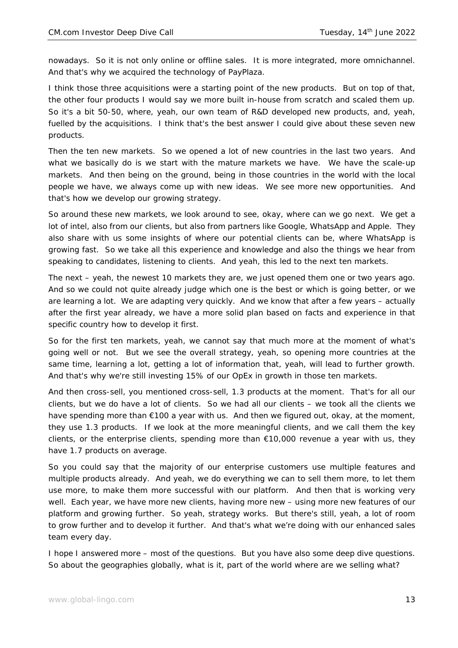nowadays. So it is not only online or offline sales. It is more integrated, more omnichannel. And that's why we acquired the technology of PayPlaza.

I think those three acquisitions were a starting point of the new products. But on top of that, the other four products I would say we more built in-house from scratch and scaled them up. So it's a bit 50-50, where, yeah, our own team of R&D developed new products, and, yeah, fuelled by the acquisitions. I think that's the best answer I could give about these seven new products.

Then the ten new markets. So we opened a lot of new countries in the last two years. And what we basically do is we start with the mature markets we have. We have the scale-up markets. And then being on the ground, being in those countries in the world with the local people we have, we always come up with new ideas. We see more new opportunities. And that's how we develop our growing strategy.

So around these new markets, we look around to see, okay, where can we go next. We get a lot of intel, also from our clients, but also from partners like Google, WhatsApp and Apple. They also share with us some insights of where our potential clients can be, where WhatsApp is growing fast. So we take all this experience and knowledge and also the things we hear from speaking to candidates, listening to clients. And yeah, this led to the next ten markets.

The next – yeah, the newest 10 markets they are, we just opened them one or two years ago. And so we could not quite already judge which one is the best or which is going better, or we are learning a lot. We are adapting very quickly. And we know that after a few years – actually after the first year already, we have a more solid plan based on facts and experience in that specific country how to develop it first.

So for the first ten markets, yeah, we cannot say that much more at the moment of what's going well or not. But we see the overall strategy, yeah, so opening more countries at the same time, learning a lot, getting a lot of information that, yeah, will lead to further growth. And that's why we're still investing 15% of our OpEx in growth in those ten markets.

And then cross-sell, you mentioned cross-sell, 1.3 products at the moment. That's for all our clients, but we do have a lot of clients. So we had all our clients – we took all the clients we have spending more than  $\epsilon$ 100 a year with us. And then we figured out, okay, at the moment, they use 1.3 products. If we look at the more meaningful clients, and we call them the key clients, or the enterprise clients, spending more than €10,000 revenue a year with us, they have 1.7 products on average.

So you could say that the majority of our enterprise customers use multiple features and multiple products already. And yeah, we do everything we can to sell them more, to let them use more, to make them more successful with our platform. And then that is working very well. Each year, we have more new clients, having more new – using more new features of our platform and growing further. So yeah, strategy works. But there's still, yeah, a lot of room to grow further and to develop it further. And that's what we're doing with our enhanced sales team every day.

I hope I answered more – most of the questions. But you have also some deep dive questions. So about the geographies globally, what is it, part of the world where are we selling what?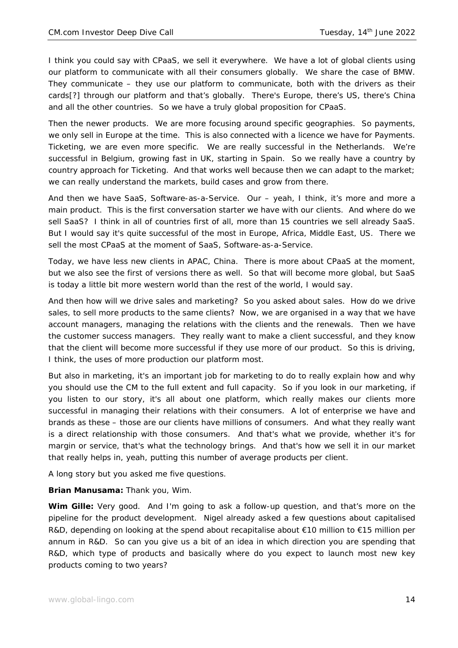I think you could say with CPaaS, we sell it everywhere. We have a lot of global clients using our platform to communicate with all their consumers globally. We share the case of BMW. They communicate – they use our platform to communicate, both with the drivers as their cards[?] through our platform and that's globally. There's Europe, there's US, there's China and all the other countries. So we have a truly global proposition for CPaaS.

Then the newer products. We are more focusing around specific geographies. So payments, we only sell in Europe at the time. This is also connected with a licence we have for Payments. Ticketing, we are even more specific. We are really successful in the Netherlands. We're successful in Belgium, growing fast in UK, starting in Spain. So we really have a country by country approach for Ticketing. And that works well because then we can adapt to the market; we can really understand the markets, build cases and grow from there.

And then we have SaaS, Software-as-a-Service. Our – yeah, I think, it's more and more a main product. This is the first conversation starter we have with our clients. And where do we sell SaaS? I think in all of countries first of all, more than 15 countries we sell already SaaS. But I would say it's quite successful of the most in Europe, Africa, Middle East, US. There we sell the most CPaaS at the moment of SaaS, Software-as-a-Service.

Today, we have less new clients in APAC, China. There is more about CPaaS at the moment, but we also see the first of versions there as well. So that will become more global, but SaaS is today a little bit more western world than the rest of the world, I would say.

And then how will we drive sales and marketing? So you asked about sales. How do we drive sales, to sell more products to the same clients? Now, we are organised in a way that we have account managers, managing the relations with the clients and the renewals. Then we have the customer success managers. They really want to make a client successful, and they know that the client will become more successful if they use more of our product. So this is driving, I think, the uses of more production our platform most.

But also in marketing, it's an important job for marketing to do to really explain how and why you should use the CM to the full extent and full capacity. So if you look in our marketing, if you listen to our story, it's all about one platform, which really makes our clients more successful in managing their relations with their consumers. A lot of enterprise we have and brands as these – those are our clients have millions of consumers. And what they really want is a direct relationship with those consumers. And that's what we provide, whether it's for margin or service, that's what the technology brings. And that's how we sell it in our market that really helps in, yeah, putting this number of average products per client.

A long story but you asked me five questions.

**Brian Manusama:** Thank you, Wim.

**Wim Gille:** Very good. And I'm going to ask a follow-up question, and that's more on the pipeline for the product development. Nigel already asked a few questions about capitalised R&D, depending on looking at the spend about recapitalise about €10 million to €15 million per annum in R&D. So can you give us a bit of an idea in which direction you are spending that R&D, which type of products and basically where do you expect to launch most new key products coming to two years?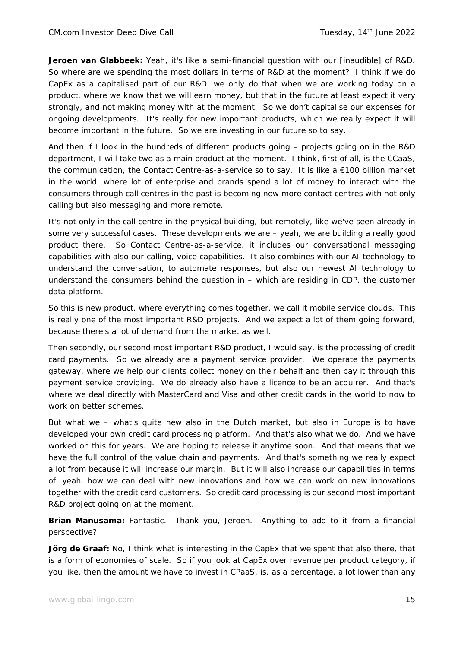**Jeroen van Glabbeek:** Yeah, it's like a semi-financial question with our [inaudible] of R&D. So where are we spending the most dollars in terms of R&D at the moment? I think if we do CapEx as a capitalised part of our R&D, we only do that when we are working today on a product, where we know that we will earn money, but that in the future at least expect it very strongly, and not making money with at the moment. So we don't capitalise our expenses for ongoing developments. It's really for new important products, which we really expect it will become important in the future. So we are investing in our future so to say.

And then if I look in the hundreds of different products going – projects going on in the R&D department, I will take two as a main product at the moment. I think, first of all, is the CCaaS, the communication, the Contact Centre-as-a-service so to say. It is like a €100 billion market in the world, where lot of enterprise and brands spend a lot of money to interact with the consumers through call centres in the past is becoming now more contact centres with not only calling but also messaging and more remote.

It's not only in the call centre in the physical building, but remotely, like we've seen already in some very successful cases. These developments we are – yeah, we are building a really good product there. So Contact Centre-as-a-service, it includes our conversational messaging capabilities with also our calling, voice capabilities. It also combines with our AI technology to understand the conversation, to automate responses, but also our newest AI technology to understand the consumers behind the question in – which are residing in CDP, the customer data platform.

So this is new product, where everything comes together, we call it mobile service clouds. This is really one of the most important R&D projects. And we expect a lot of them going forward, because there's a lot of demand from the market as well.

Then secondly, our second most important R&D product, I would say, is the processing of credit card payments. So we already are a payment service provider. We operate the payments gateway, where we help our clients collect money on their behalf and then pay it through this payment service providing. We do already also have a licence to be an acquirer. And that's where we deal directly with MasterCard and Visa and other credit cards in the world to now to work on better schemes.

But what we – what's quite new also in the Dutch market, but also in Europe is to have developed your own credit card processing platform. And that's also what we do. And we have worked on this for years. We are hoping to release it anytime soon. And that means that we have the full control of the value chain and payments. And that's something we really expect a lot from because it will increase our margin. But it will also increase our capabilities in terms of, yeah, how we can deal with new innovations and how we can work on new innovations together with the credit card customers. So credit card processing is our second most important R&D project going on at the moment.

**Brian Manusama:** Fantastic. Thank you, Jeroen. Anything to add to it from a financial perspective?

**Jörg de Graaf:** No, I think what is interesting in the CapEx that we spent that also there, that is a form of economies of scale. So if you look at CapEx over revenue per product category, if you like, then the amount we have to invest in CPaaS, is, as a percentage, a lot lower than any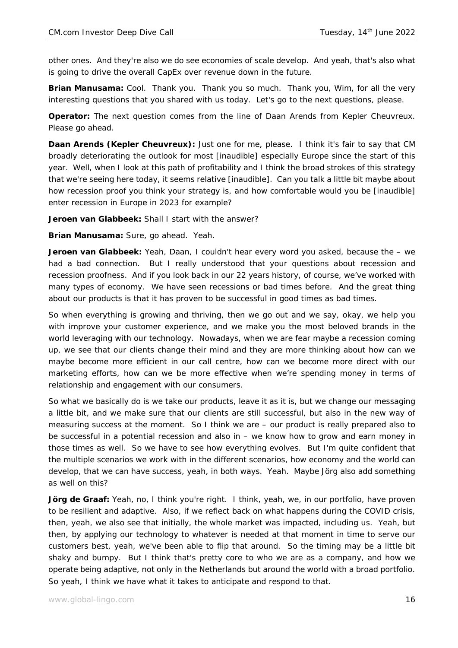other ones. And they're also we do see economies of scale develop. And yeah, that's also what is going to drive the overall CapEx over revenue down in the future.

**Brian Manusama:** Cool. Thank you. Thank you so much. Thank you, Wim, for all the very interesting questions that you shared with us today. Let's go to the next questions, please.

**Operator:** The next question comes from the line of Daan Arends from Kepler Cheuvreux. Please go ahead.

**Daan Arends (Kepler Cheuvreux):** Just one for me, please. I think it's fair to say that CM broadly deteriorating the outlook for most [inaudible] especially Europe since the start of this year. Well, when I look at this path of profitability and I think the broad strokes of this strategy that we're seeing here today, it seems relative [inaudible]. Can you talk a little bit maybe about how recession proof you think your strategy is, and how comfortable would you be [inaudible] enter recession in Europe in 2023 for example?

**Jeroen van Glabbeek:** Shall I start with the answer?

**Brian Manusama:** Sure, go ahead. Yeah.

**Jeroen van Glabbeek:** Yeah, Daan, I couldn't hear every word you asked, because the – we had a bad connection. But I really understood that your questions about recession and recession proofness. And if you look back in our 22 years history, of course, we've worked with many types of economy. We have seen recessions or bad times before. And the great thing about our products is that it has proven to be successful in good times as bad times.

So when everything is growing and thriving, then we go out and we say, okay, we help you with improve your customer experience, and we make you the most beloved brands in the world leveraging with our technology. Nowadays, when we are fear maybe a recession coming up, we see that our clients change their mind and they are more thinking about how can we maybe become more efficient in our call centre, how can we become more direct with our marketing efforts, how can we be more effective when we're spending money in terms of relationship and engagement with our consumers.

So what we basically do is we take our products, leave it as it is, but we change our messaging a little bit, and we make sure that our clients are still successful, but also in the new way of measuring success at the moment. So I think we are – our product is really prepared also to be successful in a potential recession and also in – we know how to grow and earn money in those times as well. So we have to see how everything evolves. But I'm quite confident that the multiple scenarios we work with in the different scenarios, how economy and the world can develop, that we can have success, yeah, in both ways. Yeah. Maybe Jörg also add something as well on this?

**Jörg de Graaf:** Yeah, no, I think you're right. I think, yeah, we, in our portfolio, have proven to be resilient and adaptive. Also, if we reflect back on what happens during the COVID crisis, then, yeah, we also see that initially, the whole market was impacted, including us. Yeah, but then, by applying our technology to whatever is needed at that moment in time to serve our customers best, yeah, we've been able to flip that around. So the timing may be a little bit shaky and bumpy. But I think that's pretty core to who we are as a company, and how we operate being adaptive, not only in the Netherlands but around the world with a broad portfolio. So yeah, I think we have what it takes to anticipate and respond to that.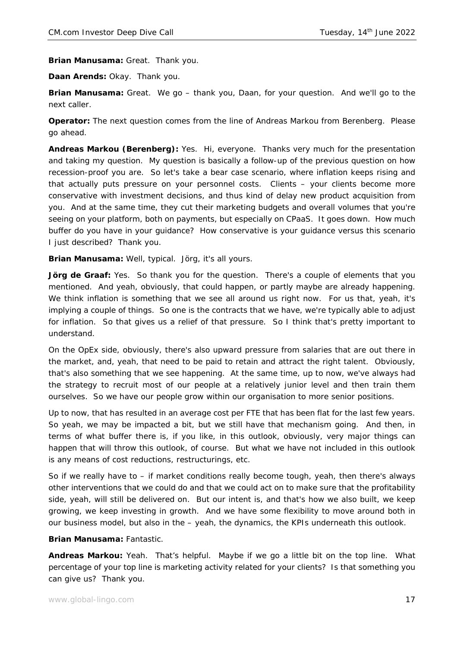**Brian Manusama:** Great. Thank you.

**Daan Arends:** Okay. Thank you.

**Brian Manusama:** Great. We go – thank you, Daan, for your question. And we'll go to the next caller.

**Operator:** The next question comes from the line of Andreas Markou from Berenberg. Please go ahead.

**Andreas Markou (Berenberg):** Yes. Hi, everyone. Thanks very much for the presentation and taking my question. My question is basically a follow-up of the previous question on how recession-proof you are. So let's take a bear case scenario, where inflation keeps rising and that actually puts pressure on your personnel costs. Clients – your clients become more conservative with investment decisions, and thus kind of delay new product acquisition from you. And at the same time, they cut their marketing budgets and overall volumes that you're seeing on your platform, both on payments, but especially on CPaaS. It goes down. How much buffer do you have in your guidance? How conservative is your guidance versus this scenario I just described? Thank you.

**Brian Manusama:** Well, typical. Jörg, it's all yours.

**Jörg de Graaf:** Yes. So thank you for the question. There's a couple of elements that you mentioned. And yeah, obviously, that could happen, or partly maybe are already happening. We think inflation is something that we see all around us right now. For us that, yeah, it's implying a couple of things. So one is the contracts that we have, we're typically able to adjust for inflation. So that gives us a relief of that pressure. So I think that's pretty important to understand.

On the OpEx side, obviously, there's also upward pressure from salaries that are out there in the market, and, yeah, that need to be paid to retain and attract the right talent. Obviously, that's also something that we see happening. At the same time, up to now, we've always had the strategy to recruit most of our people at a relatively junior level and then train them ourselves. So we have our people grow within our organisation to more senior positions.

Up to now, that has resulted in an average cost per FTE that has been flat for the last few years. So yeah, we may be impacted a bit, but we still have that mechanism going. And then, in terms of what buffer there is, if you like, in this outlook, obviously, very major things can happen that will throw this outlook, of course. But what we have not included in this outlook is any means of cost reductions, restructurings, etc.

So if we really have to – if market conditions really become tough, yeah, then there's always other interventions that we could do and that we could act on to make sure that the profitability side, yeah, will still be delivered on. But our intent is, and that's how we also built, we keep growing, we keep investing in growth. And we have some flexibility to move around both in our business model, but also in the – yeah, the dynamics, the KPIs underneath this outlook.

**Brian Manusama:** Fantastic.

**Andreas Markou:** Yeah. That's helpful. Maybe if we go a little bit on the top line. What percentage of your top line is marketing activity related for your clients? Is that something you can give us? Thank you.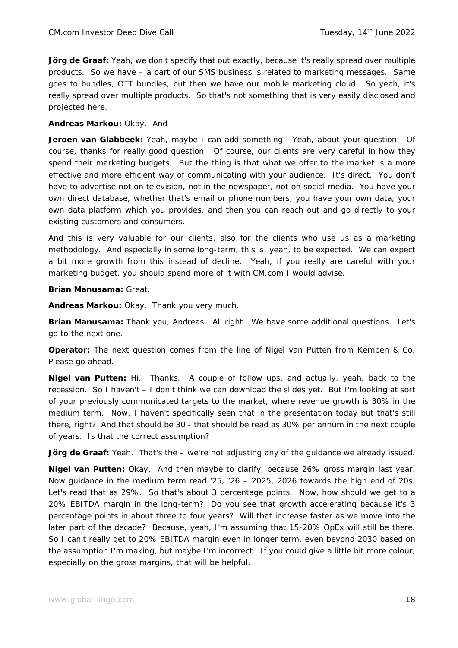**Jörg de Graaf:** Yeah, we don't specify that out exactly, because it's really spread over multiple products. So we have – a part of our SMS business is related to marketing messages. Same goes to bundles, OTT bundles, but then we have our mobile marketing cloud. So yeah, it's really spread over multiple products. So that's not something that is very easily disclosed and projected here.

### **Andreas Markou:** Okay. And –

**Jeroen van Glabbeek:** Yeah, maybe I can add something. Yeah, about your question. Of course, thanks for really good question. Of course, our clients are very careful in how they spend their marketing budgets. But the thing is that what we offer to the market is a more effective and more efficient way of communicating with your audience. It's direct. You don't have to advertise not on television, not in the newspaper, not on social media. You have your own direct database, whether that's email or phone numbers, you have your own data, your own data platform which you provides, and then you can reach out and go directly to your existing customers and consumers.

And this is very valuable for our clients, also for the clients who use us as a marketing methodology. And especially in some long-term, this is, yeah, to be expected. We can expect a bit more growth from this instead of decline. Yeah, if you really are careful with your marketing budget, you should spend more of it with CM.com I would advise.

#### **Brian Manusama:** Great.

**Andreas Markou:** Okay. Thank you very much.

**Brian Manusama:** Thank you, Andreas. All right. We have some additional questions. Let's go to the next one.

**Operator:** The next question comes from the line of Nigel van Putten from Kempen & Co. Please go ahead.

**Nigel van Putten:** Hi. Thanks. A couple of follow ups, and actually, yeah, back to the recession. So I haven't – I don't think we can download the slides yet. But I'm looking at sort of your previously communicated targets to the market, where revenue growth is 30% in the medium term. Now, I haven't specifically seen that in the presentation today but that's still there, right? And that should be 30 - that should be read as 30% per annum in the next couple of years. Is that the correct assumption?

**Jörg de Graaf:** Yeah. That's the – we're not adjusting any of the guidance we already issued.

**Nigel van Putten:** Okay. And then maybe to clarify, because 26% gross margin last year. Now guidance in the medium term read  $'25$ ,  $'26 - 2025$ , 2026 towards the high end of 20s. Let's read that as 29%. So that's about 3 percentage points. Now, how should we get to a 20% EBITDA margin in the long-term? Do you see that growth accelerating because it's 3 percentage points in about three to four years? Will that increase faster as we move into the later part of the decade? Because, yeah, I'm assuming that 15-20% OpEx will still be there. So I can't really get to 20% EBITDA margin even in longer term, even beyond 2030 based on the assumption I'm making, but maybe I'm incorrect. If you could give a little bit more colour, especially on the gross margins, that will be helpful.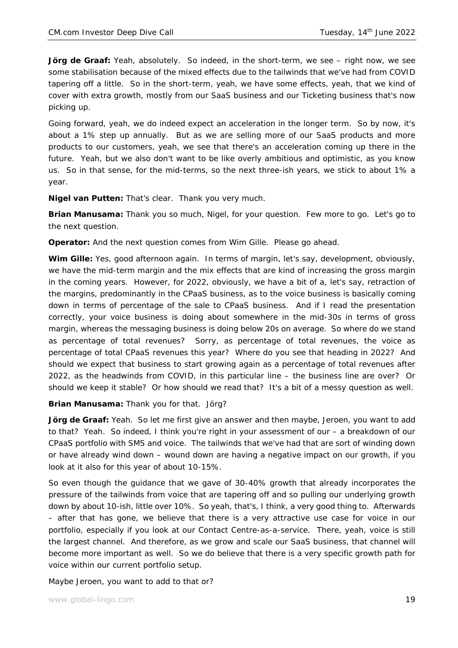**Jörg de Graaf:** Yeah, absolutely. So indeed, in the short-term, we see – right now, we see some stabilisation because of the mixed effects due to the tailwinds that we've had from COVID tapering off a little. So in the short-term, yeah, we have some effects, yeah, that we kind of cover with extra growth, mostly from our SaaS business and our Ticketing business that's now picking up.

Going forward, yeah, we do indeed expect an acceleration in the longer term. So by now, it's about a 1% step up annually. But as we are selling more of our SaaS products and more products to our customers, yeah, we see that there's an acceleration coming up there in the future. Yeah, but we also don't want to be like overly ambitious and optimistic, as you know us. So in that sense, for the mid-terms, so the next three-ish years, we stick to about 1% a year.

**Nigel van Putten:** That's clear. Thank you very much.

**Brian Manusama:** Thank you so much, Nigel, for your question. Few more to go. Let's go to the next question.

**Operator:** And the next question comes from Wim Gille. Please go ahead.

**Wim Gille:** Yes, good afternoon again. In terms of margin, let's say, development, obviously, we have the mid-term margin and the mix effects that are kind of increasing the gross margin in the coming years. However, for 2022, obviously, we have a bit of a, let's say, retraction of the margins, predominantly in the CPaaS business, as to the voice business is basically coming down in terms of percentage of the sale to CPaaS business. And if I read the presentation correctly, your voice business is doing about somewhere in the mid-30s in terms of gross margin, whereas the messaging business is doing below 20s on average. So where do we stand as percentage of total revenues? Sorry, as percentage of total revenues, the voice as percentage of total CPaaS revenues this year? Where do you see that heading in 2022? And should we expect that business to start growing again as a percentage of total revenues after 2022, as the headwinds from COVID, in this particular line – the business line are over? Or should we keep it stable? Or how should we read that? It's a bit of a messy question as well.

**Brian Manusama:** Thank you for that. Jörg?

**Jörg de Graaf:** Yeah. So let me first give an answer and then maybe, Jeroen, you want to add to that? Yeah. So indeed, I think you're right in your assessment of our – a breakdown of our CPaaS portfolio with SMS and voice. The tailwinds that we've had that are sort of winding down or have already wind down – wound down are having a negative impact on our growth, if you look at it also for this year of about 10-15%.

So even though the guidance that we gave of 30-40% growth that already incorporates the pressure of the tailwinds from voice that are tapering off and so pulling our underlying growth down by about 10-ish, little over 10%. So yeah, that's, I think, a very good thing to. Afterwards – after that has gone, we believe that there is a very attractive use case for voice in our portfolio, especially if you look at our Contact Centre-as-a-service. There, yeah, voice is still the largest channel. And therefore, as we grow and scale our SaaS business, that channel will become more important as well. So we do believe that there is a very specific growth path for voice within our current portfolio setup.

Maybe Jeroen, you want to add to that or?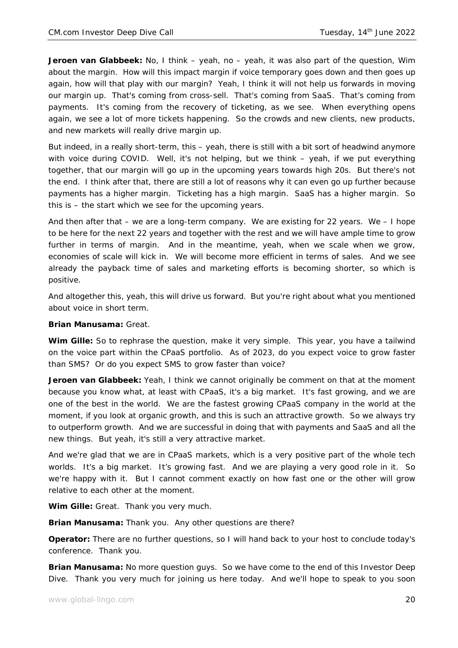**Jeroen van Glabbeek:** No, I think – yeah, no – yeah, it was also part of the question, Wim about the margin. How will this impact margin if voice temporary goes down and then goes up again, how will that play with our margin? Yeah, I think it will not help us forwards in moving our margin up. That's coming from cross-sell. That's coming from SaaS. That's coming from payments. It's coming from the recovery of ticketing, as we see. When everything opens again, we see a lot of more tickets happening. So the crowds and new clients, new products, and new markets will really drive margin up.

But indeed, in a really short-term, this – yeah, there is still with a bit sort of headwind anymore with voice during COVID. Well, it's not helping, but we think – yeah, if we put everything together, that our margin will go up in the upcoming years towards high 20s. But there's not the end. I think after that, there are still a lot of reasons why it can even go up further because payments has a higher margin. Ticketing has a high margin. SaaS has a higher margin. So this is – the start which we see for the upcoming years.

And then after that  $-$  we are a long-term company. We are existing for 22 years. We  $-1$  hope to be here for the next 22 years and together with the rest and we will have ample time to grow further in terms of margin. And in the meantime, yeah, when we scale when we grow, economies of scale will kick in. We will become more efficient in terms of sales. And we see already the payback time of sales and marketing efforts is becoming shorter, so which is positive.

And altogether this, yeah, this will drive us forward. But you're right about what you mentioned about voice in short term.

**Brian Manusama:** Great.

Wim Gille: So to rephrase the question, make it very simple. This year, you have a tailwind on the voice part within the CPaaS portfolio. As of 2023, do you expect voice to grow faster than SMS? Or do you expect SMS to grow faster than voice?

**Jeroen van Glabbeek:** Yeah, I think we cannot originally be comment on that at the moment because you know what, at least with CPaaS, it's a big market. It's fast growing, and we are one of the best in the world. We are the fastest growing CPaaS company in the world at the moment, if you look at organic growth, and this is such an attractive growth. So we always try to outperform growth. And we are successful in doing that with payments and SaaS and all the new things. But yeah, it's still a very attractive market.

And we're glad that we are in CPaaS markets, which is a very positive part of the whole tech worlds. It's a big market. It's growing fast. And we are playing a very good role in it. So we're happy with it. But I cannot comment exactly on how fast one or the other will grow relative to each other at the moment.

**Wim Gille:** Great. Thank you very much.

**Brian Manusama:** Thank you. Any other questions are there?

**Operator:** There are no further questions, so I will hand back to your host to conclude today's conference. Thank you.

**Brian Manusama:** No more question guys. So we have come to the end of this Investor Deep Dive. Thank you very much for joining us here today. And we'll hope to speak to you soon